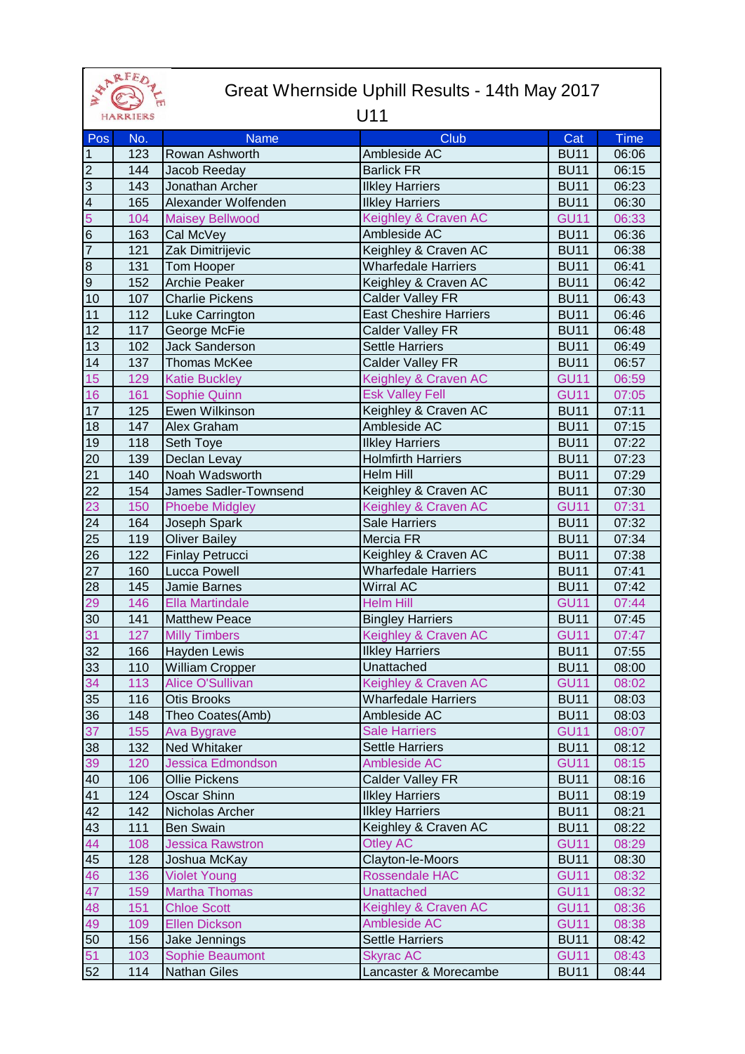

## Great Whernside Uphill Results - 14th May 2017

| ∍<br>$\blacktriangleright$<br>$\boxed{1}$<br>HARRIERS |     |                              | U11                           |                  |                    |
|-------------------------------------------------------|-----|------------------------------|-------------------------------|------------------|--------------------|
| Pos                                                   | No. | <b>Name</b>                  | Club                          | Cat              | <b>Time</b>        |
| $\overline{1}$                                        | 123 | Rowan Ashworth               | Ambleside AC                  | <b>BU11</b>      | 06:06              |
| $\sim$ $\sim$                                         | 144 | Jacob Reeday                 | <b>Barlick FR</b>             | <b>BU11</b>      | 06:15              |
|                                                       | 143 | Jonathan Archer              | <b>Ilkley Harriers</b>        | <b>BU11</b>      | 06:23              |
|                                                       | 165 | Alexander Wolfenden          | <b>Ilkley Harriers</b>        | <b>BU11</b>      | 06:30              |
| $\frac{4}{5}$                                         | 104 | <b>Maisey Bellwood</b>       | Keighley & Craven AC          | <b>GU11</b>      | 06:33              |
| $\omega$                                              | 163 | Cal McVey                    | Ambleside AC                  | <b>BU11</b>      | 06:36              |
| $\overline{7}$                                        | 121 | Zak Dimitrijevic             | Keighley & Craven AC          | <b>BU11</b>      | 06:38              |
| $\bf{8}$                                              | 131 | Tom Hooper                   | <b>Wharfedale Harriers</b>    | <b>BU11</b>      | 06:41              |
| $\overline{9}$                                        | 152 | <b>Archie Peaker</b>         | Keighley & Craven AC          | <b>BU11</b>      | 06:42              |
| 10                                                    | 107 | <b>Charlie Pickens</b>       | <b>Calder Valley FR</b>       | <b>BU11</b>      | 06:43              |
| 11                                                    | 112 | Luke Carrington              | <b>East Cheshire Harriers</b> | <b>BU11</b>      | 06:46              |
| 12                                                    | 117 | George McFie                 | <b>Calder Valley FR</b>       | <b>BU11</b>      | 06:48              |
| 13                                                    | 102 | Jack Sanderson               | <b>Settle Harriers</b>        | <b>BU11</b>      | 06:49              |
| 14                                                    | 137 | <b>Thomas McKee</b>          | <b>Calder Valley FR</b>       | <b>BU11</b>      | 06:57              |
| 15                                                    | 129 | <b>Katie Buckley</b>         | Keighley & Craven AC          | <b>GU11</b>      | 06:59              |
| 16                                                    | 161 | <b>Sophie Quinn</b>          | <b>Esk Valley Fell</b>        | <b>GU11</b>      | 07:05              |
| 17                                                    | 125 | Ewen Wilkinson               | Keighley & Craven AC          | <b>BU11</b>      | 07:11              |
| 18                                                    | 147 | Alex Graham                  | Ambleside AC                  | <b>BU11</b>      | 07:15              |
| 19                                                    | 118 | Seth Toye                    | <b>Ilkley Harriers</b>        | <b>BU11</b>      | 07:22              |
| 20                                                    | 139 | Declan Levay                 | <b>Holmfirth Harriers</b>     | BU <sub>11</sub> | $\overline{07:}23$ |
| 21                                                    | 140 | Noah Wadsworth               | <b>Helm Hill</b>              | <b>BU11</b>      | 07:29              |
| $\overline{22}$                                       | 154 | <b>James Sadler-Townsend</b> | Keighley & Craven AC          | <b>BU11</b>      | 07:30              |
| 23                                                    | 150 | <b>Phoebe Midgley</b>        | Keighley & Craven AC          | <b>GU11</b>      | 07:31              |
| $\overline{24}$                                       | 164 | Joseph Spark                 | Sale Harriers                 | <b>BU11</b>      | 07:32              |
| $\overline{25}$                                       | 119 | <b>Oliver Bailey</b>         | Mercia FR                     | <b>BU11</b>      | 07:34              |
| 26                                                    | 122 | <b>Finlay Petrucci</b>       | Keighley & Craven AC          | <b>BU11</b>      | 07:38              |
| 27                                                    | 160 | <b>Lucca Powell</b>          | <b>Wharfedale Harriers</b>    | <b>BU11</b>      | 07:41              |
| 28                                                    | 145 | Jamie Barnes                 | <b>Wirral AC</b>              | <b>BU11</b>      | 07:42              |
| 29                                                    | 146 | <b>Ella Martindale</b>       | <b>Helm Hill</b>              | <b>GU11</b>      | 07:44              |
| 30                                                    | 141 | <b>Matthew Peace</b>         | <b>Bingley Harriers</b>       | <b>BU11</b>      | 07:45              |
| 31                                                    | 127 | <b>Milly Timbers</b>         | Keighley & Craven AC          | <b>GU11</b>      | 07:47              |
| 32                                                    | 166 | Hayden Lewis                 | <b>Ilkley Harriers</b>        | <b>BU11</b>      | 07:55              |
| 33                                                    | 110 | <b>William Cropper</b>       | Unattached                    | <b>BU11</b>      | 08:00              |
| 34                                                    | 113 | Alice O'Sullivan             | Keighley & Craven AC          | <b>GU11</b>      | 08:02              |
| 35                                                    | 116 | <b>Otis Brooks</b>           | <b>Wharfedale Harriers</b>    | <b>BU11</b>      | 08:03              |
| 36                                                    | 148 | Theo Coates(Amb)             | Ambleside AC                  | <b>BU11</b>      | 08:03              |
| 37                                                    | 155 | <b>Ava Bygrave</b>           | <b>Sale Harriers</b>          | <b>GU11</b>      | 08:07              |
| 38                                                    | 132 | Ned Whitaker                 | <b>Settle Harriers</b>        | <b>BU11</b>      | 08:12              |
| 39                                                    | 120 | <b>Jessica Edmondson</b>     | Ambleside AC                  | <b>GU11</b>      | 08:15              |
| 40                                                    | 106 | <b>Ollie Pickens</b>         | <b>Calder Valley FR</b>       | <b>BU11</b>      | 08:16              |
| 41                                                    | 124 | Oscar Shinn                  | <b>Ilkley Harriers</b>        | <b>BU11</b>      | 08:19              |
| 42                                                    | 142 | Nicholas Archer              | <b>Ilkley Harriers</b>        | <b>BU11</b>      | 08:21              |
| 43                                                    | 111 | Ben Swain                    | Keighley & Craven AC          | <b>BU11</b>      | 08:22              |
| 44                                                    | 108 | <b>Jessica Rawstron</b>      | <b>Otley AC</b>               | <b>GU11</b>      | 08:29              |
| 45                                                    | 128 | Joshua McKay                 | Clayton-le-Moors              | <b>BU11</b>      | 08:30              |
| 46                                                    | 136 | <b>Violet Young</b>          | <b>Rossendale HAC</b>         | <b>GU11</b>      | 08:32              |
| 47                                                    | 159 | <b>Martha Thomas</b>         | <b>Unattached</b>             | <b>GU11</b>      | 08:32              |
| 48                                                    | 151 | <b>Chloe Scott</b>           | Keighley & Craven AC          | <b>GU11</b>      | 08:36              |
| 49                                                    | 109 | <b>Ellen Dickson</b>         | <b>Ambleside AC</b>           | <b>GU11</b>      | 08:38              |
| 50                                                    | 156 | Jake Jennings                | <b>Settle Harriers</b>        | <b>BU11</b>      | 08:42              |
| 51                                                    | 103 | Sophie Beaumont              | <b>Skyrac AC</b>              | <b>GU11</b>      | 08:43              |
| 52                                                    | 114 | <b>Nathan Giles</b>          | Lancaster & Morecambe         | <b>BU11</b>      | 08:44              |
|                                                       |     |                              |                               |                  |                    |